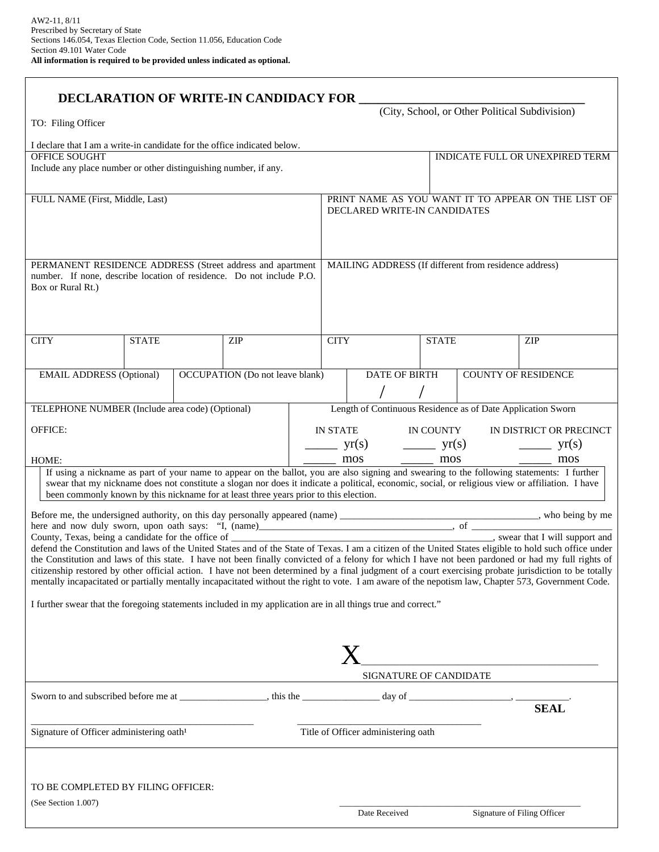| DECLARATION OF WRITE-IN CANDIDACY FOR |  |
|---------------------------------------|--|
|                                       |  |

(City, School, or Other Political Subdivision)

| I declare that I am a write-in candidate for the office indicated below.                                                                            |              |  |                                        |  |                                                                                    |                                                                                           |              |                             |                                                                                                                                                                                                                                                                                                              |
|-----------------------------------------------------------------------------------------------------------------------------------------------------|--------------|--|----------------------------------------|--|------------------------------------------------------------------------------------|-------------------------------------------------------------------------------------------|--------------|-----------------------------|--------------------------------------------------------------------------------------------------------------------------------------------------------------------------------------------------------------------------------------------------------------------------------------------------------------|
| <b>OFFICE SOUGHT</b>                                                                                                                                |              |  |                                        |  | INDICATE FULL OR UNEXPIRED TERM                                                    |                                                                                           |              |                             |                                                                                                                                                                                                                                                                                                              |
| Include any place number or other distinguishing number, if any.                                                                                    |              |  |                                        |  |                                                                                    |                                                                                           |              |                             |                                                                                                                                                                                                                                                                                                              |
| FULL NAME (First, Middle, Last)                                                                                                                     |              |  |                                        |  |                                                                                    |                                                                                           |              |                             |                                                                                                                                                                                                                                                                                                              |
|                                                                                                                                                     |              |  |                                        |  | PRINT NAME AS YOU WANT IT TO APPEAR ON THE LIST OF<br>DECLARED WRITE-IN CANDIDATES |                                                                                           |              |                             |                                                                                                                                                                                                                                                                                                              |
|                                                                                                                                                     |              |  |                                        |  |                                                                                    |                                                                                           |              |                             |                                                                                                                                                                                                                                                                                                              |
|                                                                                                                                                     |              |  |                                        |  |                                                                                    |                                                                                           |              |                             |                                                                                                                                                                                                                                                                                                              |
| PERMANENT RESIDENCE ADDRESS (Street address and apartment                                                                                           |              |  |                                        |  |                                                                                    | MAILING ADDRESS (If different from residence address)                                     |              |                             |                                                                                                                                                                                                                                                                                                              |
| number. If none, describe location of residence. Do not include P.O.<br>Box or Rural Rt.)                                                           |              |  |                                        |  |                                                                                    |                                                                                           |              |                             |                                                                                                                                                                                                                                                                                                              |
|                                                                                                                                                     |              |  |                                        |  |                                                                                    |                                                                                           |              |                             |                                                                                                                                                                                                                                                                                                              |
|                                                                                                                                                     |              |  |                                        |  |                                                                                    |                                                                                           |              |                             |                                                                                                                                                                                                                                                                                                              |
| <b>CITY</b>                                                                                                                                         | <b>STATE</b> |  | <b>ZIP</b>                             |  | <b>CITY</b>                                                                        |                                                                                           | <b>STATE</b> |                             | ZIP                                                                                                                                                                                                                                                                                                          |
|                                                                                                                                                     |              |  |                                        |  |                                                                                    |                                                                                           |              |                             |                                                                                                                                                                                                                                                                                                              |
| <b>EMAIL ADDRESS (Optional)</b>                                                                                                                     |              |  | <b>OCCUPATION</b> (Do not leave blank) |  |                                                                                    | <b>DATE OF BIRTH</b>                                                                      |              | <b>COUNTY OF RESIDENCE</b>  |                                                                                                                                                                                                                                                                                                              |
|                                                                                                                                                     |              |  |                                        |  |                                                                                    |                                                                                           |              |                             |                                                                                                                                                                                                                                                                                                              |
| TELEPHONE NUMBER (Include area code) (Optional)                                                                                                     |              |  |                                        |  |                                                                                    | Length of Continuous Residence as of Date Application Sworn                               |              |                             |                                                                                                                                                                                                                                                                                                              |
| OFFICE:                                                                                                                                             |              |  |                                        |  | <b>IN STATE</b>                                                                    |                                                                                           | IN COUNTY    |                             | IN DISTRICT OR PRECINCT                                                                                                                                                                                                                                                                                      |
|                                                                                                                                                     |              |  |                                        |  |                                                                                    | $y(r(s)$ $y(r(s))$ $y(r(s))$ $y(r(s))$                                                    |              |                             |                                                                                                                                                                                                                                                                                                              |
| HOME:                                                                                                                                               |              |  |                                        |  |                                                                                    | $\frac{1}{\sqrt{1-\frac{1}{2}}}\text{mos}$ mos $\frac{1}{\sqrt{1-\frac{1}{2}}}\text{mos}$ |              |                             |                                                                                                                                                                                                                                                                                                              |
|                                                                                                                                                     |              |  |                                        |  |                                                                                    |                                                                                           |              |                             | If using a nickname as part of your name to appear on the ballot, you are also signing and swearing to the following statements: I further<br>swear that my nickname does not constitute a slogan nor does it indicate a political, economic, social, or religious view or affiliation. I have               |
| been commonly known by this nickname for at least three years prior to this election.                                                               |              |  |                                        |  |                                                                                    |                                                                                           |              |                             |                                                                                                                                                                                                                                                                                                              |
|                                                                                                                                                     |              |  |                                        |  |                                                                                    |                                                                                           |              |                             |                                                                                                                                                                                                                                                                                                              |
|                                                                                                                                                     |              |  |                                        |  |                                                                                    |                                                                                           |              |                             |                                                                                                                                                                                                                                                                                                              |
|                                                                                                                                                     |              |  |                                        |  |                                                                                    |                                                                                           |              |                             | defend the Constitution and laws of the United States and of the State of Texas. I am a citizen of the United States eligible to hold such office under                                                                                                                                                      |
|                                                                                                                                                     |              |  |                                        |  |                                                                                    |                                                                                           |              |                             | the Constitution and laws of this state. I have not been finally convicted of a felony for which I have not been pardoned or had my full rights of<br>citizenship restored by other official action. I have not been determined by a final judgment of a court exercising probate jurisdiction to be totally |
| mentally incapacitated or partially mentally incapacitated without the right to vote. I am aware of the nepotism law, Chapter 573, Government Code. |              |  |                                        |  |                                                                                    |                                                                                           |              |                             |                                                                                                                                                                                                                                                                                                              |
|                                                                                                                                                     |              |  |                                        |  |                                                                                    |                                                                                           |              |                             |                                                                                                                                                                                                                                                                                                              |
| I further swear that the foregoing statements included in my application are in all things true and correct."                                       |              |  |                                        |  |                                                                                    |                                                                                           |              |                             |                                                                                                                                                                                                                                                                                                              |
|                                                                                                                                                     |              |  |                                        |  |                                                                                    |                                                                                           |              |                             |                                                                                                                                                                                                                                                                                                              |
|                                                                                                                                                     |              |  |                                        |  |                                                                                    |                                                                                           |              |                             |                                                                                                                                                                                                                                                                                                              |
|                                                                                                                                                     |              |  |                                        |  |                                                                                    | SIGNATURE OF CANDIDATE                                                                    |              |                             |                                                                                                                                                                                                                                                                                                              |
|                                                                                                                                                     |              |  |                                        |  |                                                                                    |                                                                                           |              |                             |                                                                                                                                                                                                                                                                                                              |
|                                                                                                                                                     |              |  |                                        |  |                                                                                    |                                                                                           |              |                             | <b>SEAL</b>                                                                                                                                                                                                                                                                                                  |
| Signature of Officer administering oath <sup>1</sup>                                                                                                |              |  |                                        |  |                                                                                    | Title of Officer administering oath                                                       |              |                             |                                                                                                                                                                                                                                                                                                              |
|                                                                                                                                                     |              |  |                                        |  |                                                                                    |                                                                                           |              |                             |                                                                                                                                                                                                                                                                                                              |
|                                                                                                                                                     |              |  |                                        |  |                                                                                    |                                                                                           |              |                             |                                                                                                                                                                                                                                                                                                              |
|                                                                                                                                                     |              |  |                                        |  |                                                                                    |                                                                                           |              |                             |                                                                                                                                                                                                                                                                                                              |
| TO BE COMPLETED BY FILING OFFICER:<br>(See Section 1.007)                                                                                           |              |  |                                        |  |                                                                                    |                                                                                           |              |                             |                                                                                                                                                                                                                                                                                                              |
|                                                                                                                                                     |              |  |                                        |  |                                                                                    | Date Received                                                                             |              | Signature of Filing Officer |                                                                                                                                                                                                                                                                                                              |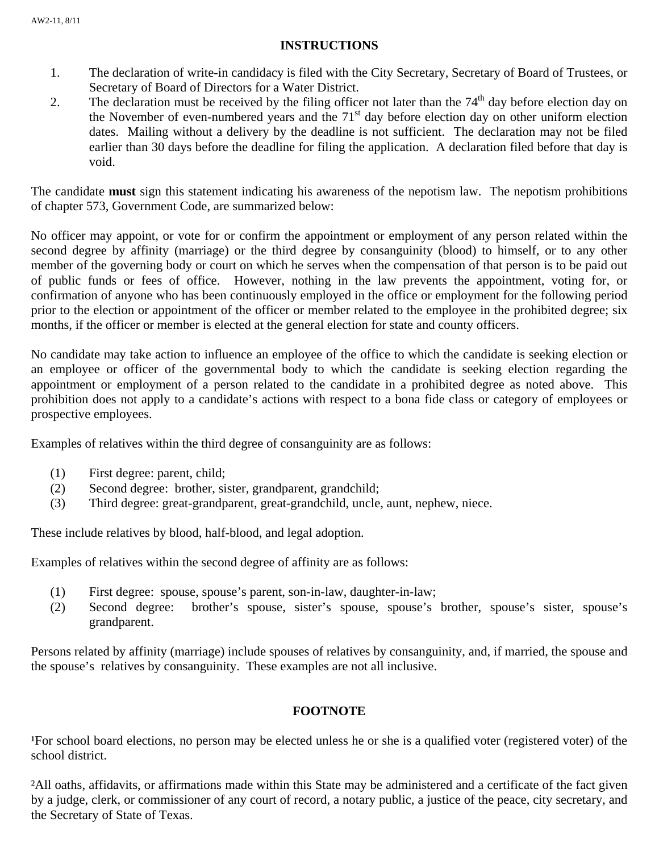## **INSTRUCTIONS**

- 1. The declaration of write-in candidacy is filed with the City Secretary, Secretary of Board of Trustees, or Secretary of Board of Directors for a Water District.
- 2. The declaration must be received by the filing officer not later than the  $74<sup>th</sup>$  day before election day on the November of even-numbered years and the  $71<sup>st</sup>$  day before election day on other uniform election dates. Mailing without a delivery by the deadline is not sufficient. The declaration may not be filed earlier than 30 days before the deadline for filing the application. A declaration filed before that day is void.

The candidate **must** sign this statement indicating his awareness of the nepotism law. The nepotism prohibitions of chapter 573, Government Code, are summarized below:

No officer may appoint, or vote for or confirm the appointment or employment of any person related within the second degree by affinity (marriage) or the third degree by consanguinity (blood) to himself, or to any other member of the governing body or court on which he serves when the compensation of that person is to be paid out of public funds or fees of office. However, nothing in the law prevents the appointment, voting for, or confirmation of anyone who has been continuously employed in the office or employment for the following period prior to the election or appointment of the officer or member related to the employee in the prohibited degree; six months, if the officer or member is elected at the general election for state and county officers.

No candidate may take action to influence an employee of the office to which the candidate is seeking election or an employee or officer of the governmental body to which the candidate is seeking election regarding the appointment or employment of a person related to the candidate in a prohibited degree as noted above. This prohibition does not apply to a candidate's actions with respect to a bona fide class or category of employees or prospective employees.

Examples of relatives within the third degree of consanguinity are as follows:

- (1) First degree: parent, child;
- (2) Second degree: brother, sister, grandparent, grandchild;
- (3) Third degree: great-grandparent, great-grandchild, uncle, aunt, nephew, niece.

These include relatives by blood, half-blood, and legal adoption.

Examples of relatives within the second degree of affinity are as follows:

- (1) First degree: spouse, spouse's parent, son-in-law, daughter-in-law;
- (2) Second degree: brother's spouse, sister's spouse, spouse's brother, spouse's sister, spouse's grandparent.

Persons related by affinity (marriage) include spouses of relatives by consanguinity, and, if married, the spouse and the spouse's relatives by consanguinity. These examples are not all inclusive.

# **FOOTNOTE**

<sup>1</sup>For school board elections, no person may be elected unless he or she is a qualified voter (registered voter) of the school district.

<sup>2</sup>All oaths, affidavits, or affirmations made within this State may be administered and a certificate of the fact given by a judge, clerk, or commissioner of any court of record, a notary public, a justice of the peace, city secretary, and the Secretary of State of Texas.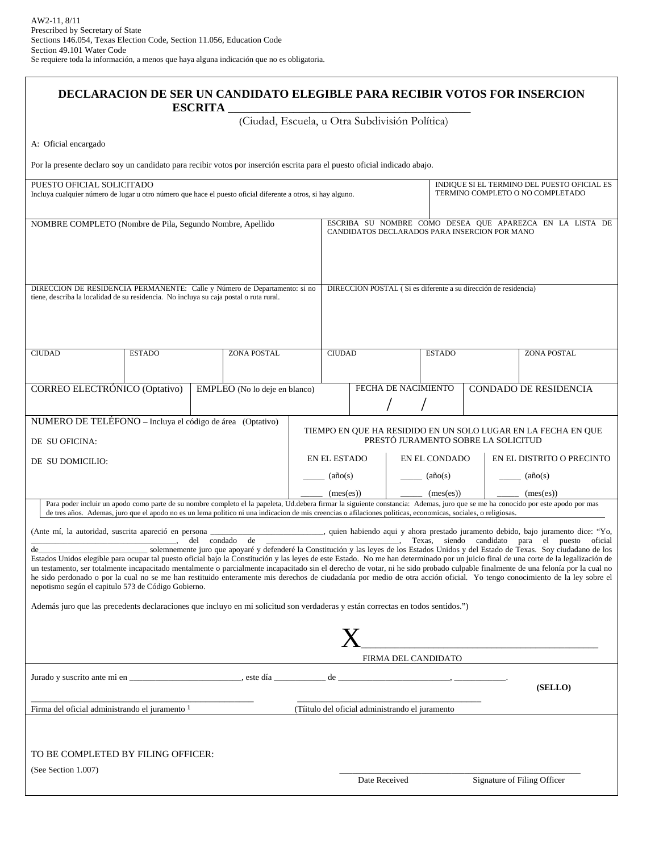### **DECLARACION DE SER UN CANDIDATO ELEGIBLE PARA RECIBIR VOTOS FOR INSERCION**   $ESCRITA$

(Ciudad, Escuela, u Otra Subdivisión Política)

A: Oficial encargado

Por la presente declaro soy un candidato para recibir votos por inserción escrita para el puesto oficial indicado abajo.

| PUESTO OFICIAL SOLICITADO<br>Incluya cualquier número de lugar u otro número que hace el puesto oficial diferente a otros, si hay alguno.                                                                                                                                                                                                                                                                                                                                                                                                                                                                                                                                                                                                                                                                                                                                                                                                                                                                                                                                                                                            |                               | INDIQUE SI EL TERMINO DEL PUESTO OFICIAL ES<br>TERMINO COMPLETO O NO COMPLETADO                           |                                                 |                                                                                                      |  |  |  |
|--------------------------------------------------------------------------------------------------------------------------------------------------------------------------------------------------------------------------------------------------------------------------------------------------------------------------------------------------------------------------------------------------------------------------------------------------------------------------------------------------------------------------------------------------------------------------------------------------------------------------------------------------------------------------------------------------------------------------------------------------------------------------------------------------------------------------------------------------------------------------------------------------------------------------------------------------------------------------------------------------------------------------------------------------------------------------------------------------------------------------------------|-------------------------------|-----------------------------------------------------------------------------------------------------------|-------------------------------------------------|------------------------------------------------------------------------------------------------------|--|--|--|
|                                                                                                                                                                                                                                                                                                                                                                                                                                                                                                                                                                                                                                                                                                                                                                                                                                                                                                                                                                                                                                                                                                                                      |                               |                                                                                                           |                                                 |                                                                                                      |  |  |  |
| NOMBRE COMPLETO (Nombre de Pila, Segundo Nombre, Apellido                                                                                                                                                                                                                                                                                                                                                                                                                                                                                                                                                                                                                                                                                                                                                                                                                                                                                                                                                                                                                                                                            |                               | ESCRIBA SU NOMBRE COMO DESEA QUE APAREZCA EN LA LISTA DE<br>CANDIDATOS DECLARADOS PARA INSERCION POR MANO |                                                 |                                                                                                      |  |  |  |
| DIRECCION DE RESIDENCIA PERMANENTE: Calle y Número de Departamento: si no                                                                                                                                                                                                                                                                                                                                                                                                                                                                                                                                                                                                                                                                                                                                                                                                                                                                                                                                                                                                                                                            |                               |                                                                                                           |                                                 |                                                                                                      |  |  |  |
| tiene, describa la localidad de su residencia. No incluya su caja postal o ruta rural.                                                                                                                                                                                                                                                                                                                                                                                                                                                                                                                                                                                                                                                                                                                                                                                                                                                                                                                                                                                                                                               |                               | DIRECCION POSTAL (Si es diferente a su dirección de residencia)                                           |                                                 |                                                                                                      |  |  |  |
| <b>CIUDAD</b><br><b>ESTADO</b>                                                                                                                                                                                                                                                                                                                                                                                                                                                                                                                                                                                                                                                                                                                                                                                                                                                                                                                                                                                                                                                                                                       | <b>ZONA POSTAL</b>            | <b>CIUDAD</b>                                                                                             | <b>ESTADO</b>                                   | ZONA POSTAL                                                                                          |  |  |  |
|                                                                                                                                                                                                                                                                                                                                                                                                                                                                                                                                                                                                                                                                                                                                                                                                                                                                                                                                                                                                                                                                                                                                      |                               |                                                                                                           |                                                 |                                                                                                      |  |  |  |
| CORREO ELECTRÓNICO (Optativo)                                                                                                                                                                                                                                                                                                                                                                                                                                                                                                                                                                                                                                                                                                                                                                                                                                                                                                                                                                                                                                                                                                        | EMPLEO (No lo deje en blanco) |                                                                                                           | FECHA DE NACIMIENTO                             | CONDADO DE RESIDENCIA                                                                                |  |  |  |
|                                                                                                                                                                                                                                                                                                                                                                                                                                                                                                                                                                                                                                                                                                                                                                                                                                                                                                                                                                                                                                                                                                                                      |                               |                                                                                                           |                                                 |                                                                                                      |  |  |  |
| NUMERO DE TELÉFONO - Incluya el código de área (Optativo)                                                                                                                                                                                                                                                                                                                                                                                                                                                                                                                                                                                                                                                                                                                                                                                                                                                                                                                                                                                                                                                                            |                               |                                                                                                           |                                                 |                                                                                                      |  |  |  |
| DE SU OFICINA:                                                                                                                                                                                                                                                                                                                                                                                                                                                                                                                                                                                                                                                                                                                                                                                                                                                                                                                                                                                                                                                                                                                       |                               |                                                                                                           |                                                 | TIEMPO EN QUE HA RESIDIDO EN UN SOLO LUGAR EN LA FECHA EN QUE<br>PRESTÓ JURAMENTO SOBRE LA SOLICITUD |  |  |  |
| DE SU DOMICILIO:                                                                                                                                                                                                                                                                                                                                                                                                                                                                                                                                                                                                                                                                                                                                                                                                                                                                                                                                                                                                                                                                                                                     |                               | EN EL ESTADO                                                                                              | EN EL CONDADO                                   | EN EL DISTRITO O PRECINTO                                                                            |  |  |  |
|                                                                                                                                                                                                                                                                                                                                                                                                                                                                                                                                                                                                                                                                                                                                                                                                                                                                                                                                                                                                                                                                                                                                      |                               |                                                                                                           |                                                 |                                                                                                      |  |  |  |
|                                                                                                                                                                                                                                                                                                                                                                                                                                                                                                                                                                                                                                                                                                                                                                                                                                                                                                                                                                                                                                                                                                                                      |                               | $(a\tilde{n}o(s))$                                                                                        | $(a\tilde{n}o(s))$                              | $(a\tilde{n}o(s))$                                                                                   |  |  |  |
|                                                                                                                                                                                                                                                                                                                                                                                                                                                                                                                                                                                                                                                                                                                                                                                                                                                                                                                                                                                                                                                                                                                                      |                               | (mes(es))                                                                                                 | (mes(es))                                       | (mes(es))                                                                                            |  |  |  |
| Para poder incluir un apodo como parte de su nombre completo el la papeleta, Ud.debera firmar la siguiente constancia: Ademas, juro que se me ha conocido por este apodo por mas<br>de tres años. Ademas, juro que el apodo no es un lema político ni una indicacion de mis creencias o afilaciones políticas, economicas, sociales, o religiosas.                                                                                                                                                                                                                                                                                                                                                                                                                                                                                                                                                                                                                                                                                                                                                                                   |                               |                                                                                                           |                                                 |                                                                                                      |  |  |  |
| (Ante mí, la autoridad, suscrita apareció en persona<br>quien habiendo aqui y ahora prestado juramento debido, bajo juramento dice: "Yo,<br>del condado de<br>Texas, siendo candidato para el puesto oficial<br><b>College</b><br>solemnemente juro que apoyaré y defenderé la Constitución y las leyes de los Estados Unidos y del Estado de Texas. Soy ciudadano de los<br>$de_$<br>Estados Unidos elegible para ocupar tal puesto oficial bajo la Constitución y las leyes de este Estado. No me han determinado por un juicio final de una corte de la legalización de<br>un testamento, ser totalmente incapacitado mentalmente o parcialmente incapacitado sin el derecho de votar, ni he sido probado culpable finalmente de una felonía por la cual no<br>he sido perdonado o por la cual no se me han restituido enteramente mis derechos de ciudadanía por medio de otra acción oficial. Yo tengo conocimiento de la ley sobre el<br>nepotismo según el capitulo 573 de Código Gobierno.<br>Además juro que las precedents declaraciones que incluyo en mi solicitud son verdaderas y están correctas en todos sentidos.") |                               |                                                                                                           |                                                 |                                                                                                      |  |  |  |
|                                                                                                                                                                                                                                                                                                                                                                                                                                                                                                                                                                                                                                                                                                                                                                                                                                                                                                                                                                                                                                                                                                                                      |                               |                                                                                                           |                                                 |                                                                                                      |  |  |  |
|                                                                                                                                                                                                                                                                                                                                                                                                                                                                                                                                                                                                                                                                                                                                                                                                                                                                                                                                                                                                                                                                                                                                      |                               |                                                                                                           | FIRMA DEL CANDIDATO                             |                                                                                                      |  |  |  |
|                                                                                                                                                                                                                                                                                                                                                                                                                                                                                                                                                                                                                                                                                                                                                                                                                                                                                                                                                                                                                                                                                                                                      |                               |                                                                                                           |                                                 |                                                                                                      |  |  |  |
| Jurado y suscrito ante mi en el proporcional de la contradición de la contradición de la contradición de la contradición de la contradición de la contradición de la contradición de la contradición de la contradición de la                                                                                                                                                                                                                                                                                                                                                                                                                                                                                                                                                                                                                                                                                                                                                                                                                                                                                                        |                               |                                                                                                           |                                                 | (SELLO)                                                                                              |  |  |  |
| Firma del oficial administrando el juramento 1                                                                                                                                                                                                                                                                                                                                                                                                                                                                                                                                                                                                                                                                                                                                                                                                                                                                                                                                                                                                                                                                                       |                               |                                                                                                           | (Tíitulo del oficial administrando el juramento |                                                                                                      |  |  |  |
| TO BE COMPLETED BY FILING OFFICER:<br>(See Section 1.007)                                                                                                                                                                                                                                                                                                                                                                                                                                                                                                                                                                                                                                                                                                                                                                                                                                                                                                                                                                                                                                                                            |                               |                                                                                                           |                                                 |                                                                                                      |  |  |  |
|                                                                                                                                                                                                                                                                                                                                                                                                                                                                                                                                                                                                                                                                                                                                                                                                                                                                                                                                                                                                                                                                                                                                      |                               | Date Received                                                                                             |                                                 | Signature of Filing Officer                                                                          |  |  |  |
|                                                                                                                                                                                                                                                                                                                                                                                                                                                                                                                                                                                                                                                                                                                                                                                                                                                                                                                                                                                                                                                                                                                                      |                               |                                                                                                           |                                                 |                                                                                                      |  |  |  |